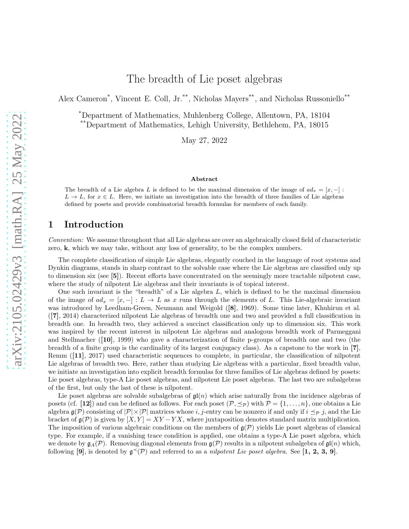Alex Cameron<sup>\*</sup>, Vincent E. Coll, Jr.<sup>\*\*</sup>, Nicholas Mayers<sup>\*\*</sup>, and Nicholas Russoniello<sup>\*\*</sup>

\*Department of Mathematics, Muhlenberg College, Allentown, PA, 18104 \*\*Department of Mathematics, Lehigh University, Bethlehem, PA, 18015

May 27, 2022

#### Abstract

The breadth of a Lie algebra L is defined to be the maximal dimension of the image of  $ad_x = [x, -]$ :  $L \to L$ , for  $x \in L$ . Here, we initiate an investigation into the breadth of three families of Lie algebras defined by posets and provide combinatorial breadth formulas for members of each family.

## 1 Introduction

*Convention:* We assume throughout that all Lie algebras are over an algebraically closed field of characteristic zero, k, which we may take, without any loss of generality, to be the complex numbers.

The complete classification of simple Lie algebras, elegantly couched in the language of root systems and Dynkin diagrams, stands in sharp contrast to the solvable case where the Lie algebras are classified only up to dimension six (see [5]). Recent efforts have concentrated on the seemingly more tractable nilpotent case, where the study of nilpotent Lie algebras and their invariants is of topical interest.

One such invariant is the "breadth" of a Lie algebra L, which is defined to be the maximal dimension of the image of  $ad_x = [x, -] : L \to L$  as x runs through the elements of L. This Lie-algebraic invariant was introduced by Leedham-Green, Neumann and Weigold ([8], 1969). Some time later, Khuhirun et al. ([7], 2014) characterized nilpotent Lie algebras of breadth one and two and provided a full classification in breadth one. In breadth two, they achieved a succinct classification only up to dimension six. This work was inspired by the recent interest in nilpotent Lie algebras and analogous breadth work of Parmeggani and Stellmacher ([10], 1999) who gave a characterization of finite p-groups of breadth one and two (the breadth of a finite group is the cardinality of its largest conjugacy class). As a capstone to the work in [7], Remm ([11], 2017) used characteristic sequences to complete, in particular, the classification of nilpotent Lie algebras of breadth two. Here, rather than studying Lie algebras with a particular, fixed breadth value, we initiate an investigation into explicit breadth formulas for three families of Lie algebras defined by posets: Lie poset algebras, type-A Lie poset algebras, and nilpotent Lie poset algebras. The last two are subalgebras of the first, but only the last of these is nilpotent.

Lie poset algebras are solvable subalgebras of  $\mathfrak{gl}(n)$  which arise naturally from the incidence algebras of posets (cf. [12]) and can be defined as follows. For each poset  $(\mathcal{P}, \preceq_{\mathcal{P}})$  with  $\mathcal{P} = \{1, \ldots, n\}$ , one obtains a Lie algebra  $\mathfrak{g}(\mathcal{P})$  consisting of  $|\mathcal{P}| \times |\mathcal{P}|$  matrices whose i, j-entry can be nonzero if and only if  $i \preceq_{\mathcal{P}} j$ , and the Lie bracket of  $\mathfrak{g}(\mathcal{P})$  is given by  $[X, Y] = XY - YX$ , where juxtaposition denotes standard matrix multiplication. The imposition of various algebraic conditions on the members of  $g(\mathcal{P})$  yields Lie poset algebras of classical type. For example, if a vanishing trace condition is applied, one obtains a type-A Lie poset algebra, which we denote by  $\mathfrak{g}_A(\mathcal{P})$ . Removing diagonal elements from  $\mathfrak{g}(\mathcal{P})$  results in a nilpotent subalgebra of  $\mathfrak{gl}(n)$  which, following [9], is denoted by  $\mathfrak{g}^{\prec}(\mathcal{P})$  and referred to as a *nilpotent Lie poset algebra*. See [1, 2, 3, 9].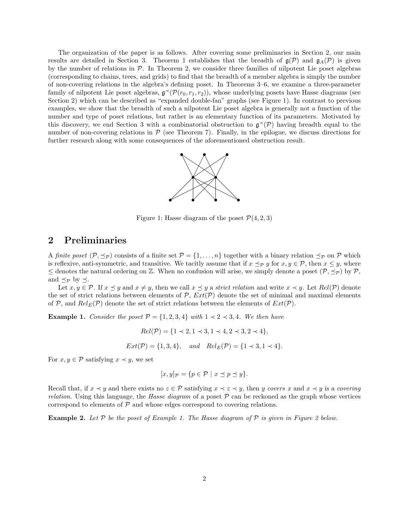The organization of the paper is as follows. After covering some preliminaries in Section 2, our main results are detailed in Section 3. Theorem 1 establishes that the breadth of  $g(\mathcal{P})$  and  $g_A(\mathcal{P})$  is given by the number of relations in  $\mathcal{P}$ . In Theorem 2, we consider three families of nilpotent Lie poset algebras (corresponding to chains, trees, and grids) to find that the breadth of a member algebra is simply the number of non-covering relations in the algebra's defining poset. In Theorems 3–6, we examine a three-parameter family of nilpotent Lie poset algebras,  $\mathfrak{g}^{\prec}(\mathcal{P}(r_0,r_1,r_2))$ , whose underlying posets have Hasse diagrams (see Section 2) which can be described as "expanded double-fan" graphs (see Figure 1). In contrast to previous examples, we show that the breadth of such a nilpotent Lie poset algebra is generally not a function of the number and type of poset relations, but rather is an elementary function of its parameters. Motivated by this discovery, we end Section 3 with a combinatorial obstruction to  $\mathfrak{g}^{\prec}(\mathcal{P})$  having breadth equal to the number of non-covering relations in  $P$  (see Theorem 7). Finally, in the epilogue, we discuss directions for further research along with some consequences of the aforementioned obstruction result.



Figure 1: Hasse diagram of the poset  $\mathcal{P}(4, 2, 3)$ 

# 2 Preliminaries

A *finite poset*  $(\mathcal{P}, \preceq_{\mathcal{P}})$  consists of a finite set  $\mathcal{P} = \{1, \ldots, n\}$  together with a binary relation  $\preceq_{\mathcal{P}}$  on  $\mathcal{P}$  which is reflexive, anti-symmetric, and transitive. We tacitly assume that if  $x \preceq_{\mathcal{P}} y$  for  $x, y \in \mathcal{P}$ , then  $x \leq y$ , where ≤ denotes the natural ordering on  $\mathbb{Z}$ . When no confusion will arise, we simply denote a poset  $(\mathcal{P}, \preceq_{\mathcal{P}})$  by  $\mathcal{P}$ , and  $\preceq_{\mathcal{P}}$  by  $\preceq$ .

Let  $x, y \in \mathcal{P}$ . If  $x \preceq y$  and  $x \neq y$ , then we call  $x \preceq y$  a *strict relation* and write  $x \prec y$ . Let  $Rel(\mathcal{P})$  denote the set of strict relations between elements of  $P$ ,  $Ext(P)$  denote the set of minimal and maximal elements of P, and  $Rel_E(\mathcal{P})$  denote the set of strict relations between the elements of  $Ext(\mathcal{P})$ .

**Example 1.** *Consider the poset*  $\mathcal{P} = \{1, 2, 3, 4\}$  *with*  $1 \prec 2 \prec 3, 4$ *. We then have* 

$$
Rel(\mathcal{P}) = \{1 \prec 2, 1 \prec 3, 1 \prec 4, 2 \prec 3, 2 \prec 4\},
$$
  
 $Ext(\mathcal{P}) = \{1, 3, 4\}, \text{ and } Rel_E(\mathcal{P}) = \{1 \prec 3, 1 \prec 4\}.$ 

For  $x, y \in \mathcal{P}$  satisfying  $x \prec y$ , we set

$$
[x, y]_{\mathcal{P}} = \{ p \in \mathcal{P} \mid x \preceq p \preceq y \}.
$$

Recall that, if  $x \prec y$  and there exists no  $z \in \mathcal{P}$  satisfying  $x \prec z \prec y$ , then y *covers* x and  $x \prec y$  is a *covering relation*. Using this language, the *Hasse diagram* of a poset P can be reckoned as the graph whose vertices correspond to elements of  $P$  and whose edges correspond to covering relations.

Example 2. *Let* P *be the poset of Example 1. The Hasse diagram of* P *is given in Figure 2 below.*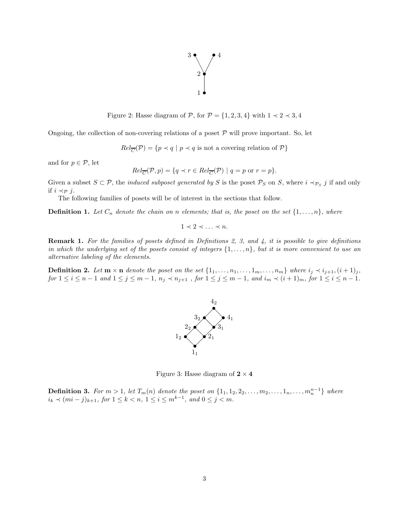

Figure 2: Hasse diagram of  $P$ , for  $P = \{1, 2, 3, 4\}$  with  $1 \prec 2 \prec 3, 4$ 

Ongoing, the collection of non-covering relations of a poset  $P$  will prove important. So, let

 $Rel_{\overline{C}}(\mathcal{P}) = \{p \prec q \mid p \prec q \text{ is not a covering relation of } \mathcal{P}\}\$ 

and for  $p \in \mathcal{P}$ , let

$$
Rel_{\overline{C}}(\mathcal{P}, p) = \{ q \prec r \in Rel_{\overline{C}}(\mathcal{P}) \mid q = p \text{ or } r = p \}.
$$

Given a subset  $S \subset \mathcal{P}$ , the *induced subposet generated by* S is the poset  $\mathcal{P}_S$  on S, where  $i \prec_{\mathcal{P}_S} j$  if and only if  $i \prec_{\mathcal{P}} j$ .

The following families of posets will be of interest in the sections that follow.

**Definition 1.** Let  $C_n$  denote the chain on n elements; that is, the poset on the set  $\{1, \ldots, n\}$ , where

$$
1 \prec 2 \prec \ldots \prec n.
$$

Remark 1. *For the families of posets defined in Definitions 2, 3, and 4, it is possible to give definitions in which the underlying set of the posets consist of integers* {1, . . . , n}*, but it is more convenient to use an alternative labeling of the elements.*

**Definition 2.** Let  $\mathbf{m} \times \mathbf{n}$  denote the poset on the set  $\{1_1, \ldots, n_1, \ldots, 1_m, \ldots, n_m\}$  where  $i_j \prec i_{j+1}, (i+1)_j$ , *for*  $1 \le i \le n-1$  *and*  $1 \le j \le m-1$ *,*  $n_j \prec n_{j+1}$ *, for*  $1 \le j \le m-1$ *, and*  $i_m \prec (i+1)_m$ *, for*  $1 \le i \le n-1$ *.* 



Figure 3: Hasse diagram of  $2 \times 4$ 

**Definition 3.** For  $m > 1$ , let  $T_m(n)$  denote the poset on  $\{1_1, 1_2, 2_2, \ldots, m_2, \ldots, 1_n, \ldots, m_n^{n-1}\}$  where  $i_k \prec (mi - j)_{k+1}, \text{ for } 1 \leq k < n, \ 1 \leq i \leq m^{k-1}, \text{ and } 0 \leq j < m.$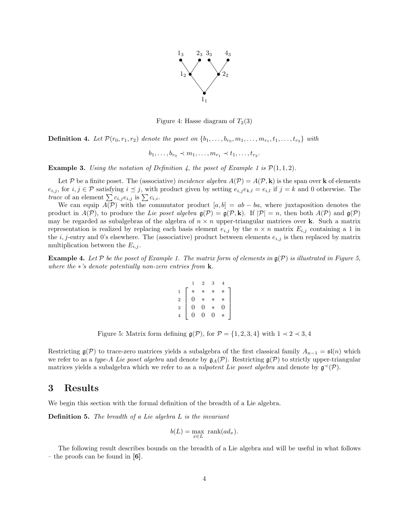

Figure 4: Hasse diagram of  $T_2(3)$ 

**Definition 4.** Let  $\mathcal{P}(r_0, r_1, r_2)$  denote the poset on  $\{b_1, \ldots, b_{r_0}, m_1, \ldots, m_{r_1}, t_1, \ldots, t_{r_2}\}$  with

$$
b_1, \ldots, b_{r_0} \prec m_1, \ldots, m_{r_1} \prec t_1, \ldots, t_{r_2}.
$$

**Example 3.** *Using the notation of Definition 4, the poset of Example 1 is*  $\mathcal{P}(1,1,2)$ *.* 

Let P be a finite poset. The (associative) *incidence algebra*  $A(\mathcal{P}) = A(\mathcal{P}, \mathbf{k})$  is the span over **k** of elements  $e_{i,j}$ , for  $i, j \in \mathcal{P}$  satisfying  $i \leq j$ , with product given by setting  $e_{i,j} e_{k,l} = e_{i,l}$  if  $j = k$  and 0 otherwise. The *trace* of an element  $\sum c_{i,j} e_{i,j}$  is  $\sum c_{i,i}$ .

We can equip  $A(\mathcal{P})$  with the commutator product  $[a, b] = ab - ba$ , where juxtaposition denotes the product in  $A(\mathcal{P})$ , to produce the *Lie poset algebra*  $g(\mathcal{P}) = g(\mathcal{P}, \mathbf{k})$ . If  $|\mathcal{P}| = n$ , then both  $A(\mathcal{P})$  and  $g(\mathcal{P})$ may be regarded as subalgebras of the algebra of  $n \times n$  upper-triangular matrices over **k**. Such a matrix representation is realized by replacing each basis element  $e_{i,j}$  by the  $n \times n$  matrix  $E_{i,j}$  containing a 1 in the *i*, *j*-entry and 0's elsewhere. The (associative) product between elements  $e_{i,j}$  is then replaced by matrix multiplication between the  $E_{i,j}$ .

**Example 4.** Let P be the poset of Example 1. The matrix form of elements in  $\mathfrak{g}(\mathcal{P})$  is illustrated in Figure 5, *where the* ∗*'s denote potentially non-zero entries from* k*.*

$$
\begin{array}{c|cccc}\n & 1 & 2 & 3 & 4 \\
1 & * & * & * & * \\
2 & 0 & * & * & * \\
3 & 0 & 0 & * & 0 \\
4 & 0 & 0 & 0 & * \n\end{array}
$$

Figure 5: Matrix form defining  $\mathfrak{g}(\mathcal{P})$ , for  $\mathcal{P} = \{1, 2, 3, 4\}$  with  $1 \prec 2 \prec 3, 4$ 

Restricting  $\mathfrak{g}(\mathcal{P})$  to trace-zero matrices yields a subalgebra of the first classical family  $A_{n-1} = \mathfrak{sl}(n)$  which we refer to as a *type-A Lie poset algebra* and denote by  $\mathfrak{g}_A(\mathcal{P})$ . Restricting  $\mathfrak{g}(\mathcal{P})$  to strictly upper-triangular matrices yields a subalgebra which we refer to as a *nilpotent Lie poset algebra* and denote by  $\mathfrak{g}^{\prec}(\mathcal{P})$ .

### 3 Results

We begin this section with the formal definition of the breadth of a Lie algebra.

Definition 5. *The breadth of a Lie algebra* L *is the invariant*

$$
b(L) = \max_{x \in L} \text{rank}(ad_x).
$$

The following result describes bounds on the breadth of a Lie algebra and will be useful in what follows – the proofs can be found in  $[6]$ .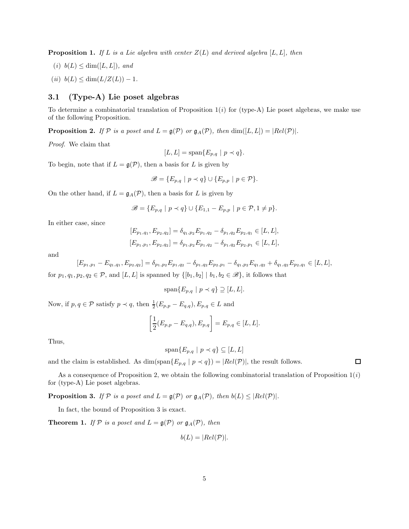**Proposition 1.** If L is a Lie algebra with center  $Z(L)$  and derived algebra  $[L, L]$ , then

- $(i)$   $b(L) \leq \dim([L, L]),$  and
- $(ii)$   $b(L) \leq \dim(L/Z(L)) 1$ .

#### 3.1 (Type-A) Lie poset algebras

To determine a combinatorial translation of Proposition 1(*i*) for (type-A) Lie poset algebras, we make use of the following Proposition.

**Proposition 2.** If  $P$  is a poset and  $L = g(P)$  or  $g_A(P)$ , then  $\dim([L, L]) = |Rel(P)|$ .

*Proof.* We claim that

$$
[L, L] = \text{span}\{E_{p,q} \mid p \prec q\}.
$$

To begin, note that if  $L = \mathfrak{g}(\mathcal{P})$ , then a basis for L is given by

$$
\mathscr{B} = \{ E_{p,q} \mid p \prec q \} \cup \{ E_{p,p} \mid p \in \mathcal{P} \}.
$$

On the other hand, if  $L = \mathfrak{g}_A(\mathcal{P})$ , then a basis for L is given by

$$
\mathscr{B} = \{ E_{p,q} \mid p \prec q \} \cup \{ E_{1,1} - E_{p,p} \mid p \in \mathcal{P}, 1 \neq p \}.
$$

In either case, since

$$
[E_{p_1,q_1}, E_{p_2,q_2}] = \delta_{q_1,p_2} E_{p_1,q_2} - \delta_{p_1,q_2} E_{p_2,q_1} \in [L, L],
$$
  

$$
[E_{p_1,p_1}, E_{p_2,q_2}] = \delta_{p_1,p_2} E_{p_1,q_2} - \delta_{p_1,q_2} E_{p_2,p_1} \in [L, L],
$$

and

$$
[E_{p_1,p_1}-E_{q_1,q_1},E_{p_2,q_2}]=\delta_{p_1,p_2}E_{p_1,q_2}-\delta_{p_1,q_2}E_{p_2,p_1}-\delta_{q_1,p_2}E_{q_1,q_2}+\delta_{q_1,q_2}E_{p_2,q_1}\in[L,L],
$$

for  $p_1, q_1, p_2, q_2 \in \mathcal{P}$ , and  $[L, L]$  is spanned by  $\{[b_1, b_2] \mid b_1, b_2 \in \mathcal{B}\}\$ , it follows that

$$
\operatorname{span}\{E_{p,q} \mid p \prec q\} \supseteq [L,L].
$$

Now, if  $p, q \in \mathcal{P}$  satisfy  $p \prec q$ , then  $\frac{1}{2}(E_{p,p} - E_{q,q})$ ,  $E_{p,q} \in L$  and

$$
\left[\frac{1}{2}(E_{p,p}-E_{q,q}), E_{p,q}\right]=E_{p,q}\in[L,L].
$$

Thus,

$$
\operatorname{span}\{E_{p,q} \mid p \prec q\} \subseteq [L,L]
$$

and the claim is established. As  $\dim(\text{span}\{E_{p,q} | p \prec q\}) = |Rel(\mathcal{P})|$ , the result follows.

As a consequence of Proposition 2, we obtain the following combinatorial translation of Proposition 1(*i*) for (type-A) Lie poset algebras.

**Proposition 3.** *If*  $P$  *is a poset and*  $L = \mathfrak{g}(P)$  *or*  $\mathfrak{g}_A(P)$ *, then*  $b(L) \leq |Rel(P)|$ *.* 

In fact, the bound of Proposition 3 is exact.

**Theorem 1.** *If*  $P$  *is a poset and*  $L = \mathfrak{g}(P)$  *or*  $\mathfrak{g}_A(P)$ *, then* 

$$
b(L) = |Rel(\mathcal{P})|.
$$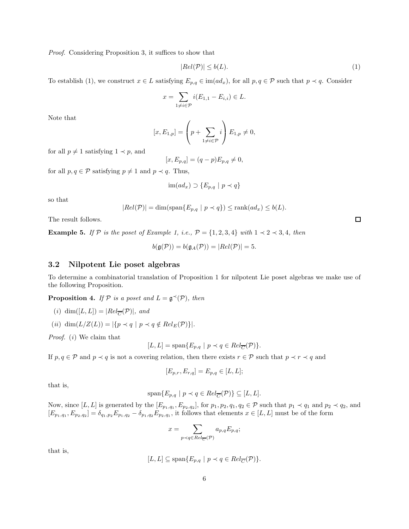*Proof.* Considering Proposition 3, it suffices to show that

$$
|Rel(\mathcal{P})| \le b(L). \tag{1}
$$

To establish (1), we construct  $x \in L$  satisfying  $E_{p,q} \in \text{im}(ad_x)$ , for all  $p, q \in \mathcal{P}$  such that  $p \prec q$ . Consider

$$
x = \sum_{1 \neq i \in \mathcal{P}} i(E_{1,1} - E_{i,i}) \in L.
$$

Note that

$$
[x, E_{1,p}] = \left(p + \sum_{1 \neq i \in \mathcal{P}} i\right) E_{1,p} \neq 0,
$$

for all  $p \neq 1$  satisfying  $1 \prec p$ , and

$$
[x, E_{p,q}] = (q-p)E_{p,q} \neq 0,
$$

for all  $p, q \in \mathcal{P}$  satisfying  $p \neq 1$  and  $p \prec q$ . Thus,

$$
\operatorname{im}(ad_x) \supset \{E_{p,q} \mid p \prec q\}
$$

so that

$$
|Rel(\mathcal{P})| = \dim(\text{span}\{E_{p,q} \mid p \prec q\}) \le \text{rank}(ad_x) \le b(L).
$$

The result follows.

Example 5. *If*  $P$  *is the poset of Example 1, i.e.,*  $P = \{1, 2, 3, 4\}$  *with*  $1 \prec 2 \prec 3, 4$ *, then* 

$$
b(\mathfrak{g}(\mathcal{P})) = b(\mathfrak{g}_A(\mathcal{P})) = |Rel(\mathcal{P})| = 5.
$$

#### 3.2 Nilpotent Lie poset algebras

To determine a combinatorial translation of Proposition 1 for nilpotent Lie poset algebras we make use of the following Proposition.

**Proposition 4.** *If*  $P$  *is a poset and*  $L = \mathfrak{g}^{\prec}(P)$ *, then* 

- $(i)$  dim $([L, L]) = |Rel_{\overline{C}}(\mathcal{P})|$ *, and*
- $(ii)\ \dim(L/Z(L))=|\{p\prec q\ |\ p\prec q\notin Rel_{E}(\mathcal{P})\}|.$

*Proof.* (*i*) We claim that

$$
[L, L] = \text{span}\{E_{p,q} \mid p \prec q \in Rel_{\overline{C}}(\mathcal{P})\}.
$$

If  $p, q \in \mathcal{P}$  and  $p \prec q$  is not a covering relation, then there exists  $r \in \mathcal{P}$  such that  $p \prec r \prec q$  and

$$
[E_{p,r}, E_{r,q}] = E_{p,q} \in [L, L];
$$

that is,

$$
\text{span}\{E_{p,q} \mid p \prec q \in Rel_{\overline{C}}(\mathcal{P})\} \subseteq [L,L].
$$

Now, since  $[L, L]$  is generated by the  $[E_{p_1,q_1}, E_{p_2,q_2}]$ , for  $p_1, p_2, q_1, q_2 \in \mathcal{P}$  such that  $p_1 \prec q_1$  and  $p_2 \prec q_2$ , and  $[E_{p_1,q_1}, E_{p_2,q_2}] = \delta_{q_1,p_2} E_{p_1,q_2} - \delta_{p_1,q_2} E_{p_2,q_1}$ , it follows that elements  $x \in [L, L]$  must be of the form

$$
x = \sum_{p \prec q \in Rel_{\overline{C}}(\mathcal{P})} a_{p,q} E_{p,q};
$$

that is,

$$
[L, L] \subseteq \text{span}\{E_{p,q} \mid p \prec q \in Rel_{\overline{C}}(\mathcal{P})\}.
$$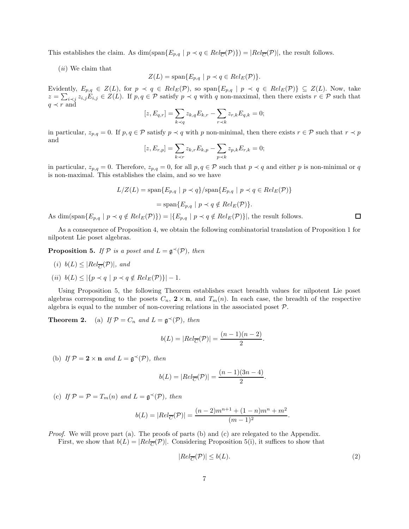This establishes the claim. As  $\dim(\text{span}\{E_{p,q} \mid p \prec q \in Rel_{\overline{C}}(\mathcal{P})\}) = |Rel_{\overline{C}}(\mathcal{P})|$ , the result follows.

(*ii*) We claim that

$$
Z(L) = \text{span}\{E_{p,q} \mid p \prec q \in Rel_E(\mathcal{P})\}.
$$

Evidently,  $E_{p,q} \in Z(L)$ , for  $p \prec q \in Rel_E(\mathcal{P})$ , so span $\{E_{p,q} \mid p \prec q \in Rel_E(\mathcal{P})\} \subseteq Z(L)$ . Now, take  $z = \sum_{i \prec j} z_{i,j} E_{i,j} \in Z(L)$ . If  $p, q \in \mathcal{P}$  satisfy  $p \prec q$  with q non-maximal, then there exists  $r \in \mathcal{P}$  such that  $q \prec r$  and

$$
[z, E_{q,r}] = \sum_{k \prec q} z_{k,q} E_{k,r} - \sum_{r \prec k} z_{r,k} E_{q,k} = 0;
$$

in particular,  $z_{p,q} = 0$ . If  $p, q \in \mathcal{P}$  satisfy  $p \prec q$  with p non-minimal, then there exists  $r \in \mathcal{P}$  such that  $r \prec p$ and

$$
[z, E_{r,p}] = \sum_{k \prec r} z_{k,r} E_{k,p} - \sum_{p \prec k} z_{p,k} E_{r,k} = 0;
$$

in particular,  $z_{p,q} = 0$ . Therefore,  $z_{p,q} = 0$ , for all  $p, q \in \mathcal{P}$  such that  $p \prec q$  and either p is non-minimal or q is non-maximal. This establishes the claim, and so we have

$$
L/Z(L) = \text{span}\{E_{p,q} \mid p \prec q\} / \text{span}\{E_{p,q} \mid p \prec q \in Rel_E(\mathcal{P})\}
$$

$$
= \text{span}\{E_{p,q} \mid p \prec q \notin Rel_E(\mathcal{P})\}.
$$

As dim(span $\{E_{p,q} \mid p \prec q \notin Rel_E(\mathcal{P})\}$ ) =  $|\{E_{p,q} \mid p \prec q \notin Rel_E(\mathcal{P})\}|$ , the result follows.

As a consequence of Proposition 4, we obtain the following combinatorial translation of Proposition 1 for nilpotent Lie poset algebras.

**Proposition 5.** *If*  $P$  *is a poset and*  $L = \mathfrak{g}^{\prec}(P)$ *, then* 

- $(i)$   $b(L) \leq |Rel_{\overline{C}}(\mathcal{P})|$ *, and*
- (*ii*)  $b(L) \leq |\{p \prec q \mid p \prec q \notin Rel_E(\mathcal{P})\}| 1$ .

Using Proposition 5, the following Theorem establishes exact breadth values for nilpotent Lie poset algebras corresponding to the posets  $C_n$ ,  $2 \times n$ , and  $T_m(n)$ . In each case, the breadth of the respective algebra is equal to the number of non-covering relations in the associated poset P.

**Theorem 2.** (a) If  $\mathcal{P} = C_n$  and  $L = \mathfrak{g}^{\prec}(\mathcal{P})$ , then

$$
b(L) = |Rel_{\overline{C}}(\mathcal{P})| = \frac{(n-1)(n-2)}{2}
$$

(b) If  $\mathcal{P} = 2 \times n$  and  $L = \mathfrak{g}^{\prec}(\mathcal{P})$ , then

$$
b(L) = |Rel_{\overline{C}}(\mathcal{P})| = \frac{(n-1)(3n-4)}{2}.
$$

(c) If  $\mathcal{P} = \mathcal{P} = T_m(n)$  and  $L = \mathfrak{g}^{\prec}(\mathcal{P})$ , then

$$
b(L) = |Rel_{\overline{C}}(\mathcal{P})| = \frac{(n-2)m^{n+1} + (1-n)m^n + m^2}{(m-1)^2}
$$

*Proof.* We will prove part (a). The proofs of parts (b) and (c) are relegated to the Appendix. First, we show that  $b(L) = |Rel_{\overline{C}}(\mathcal{P})|$ . Considering Proposition 5(i), it suffices to show that

$$
|Rel_{\overline{C}}(\mathcal{P})| \leq b(L). \tag{2}
$$

.

 $\Box$ 

.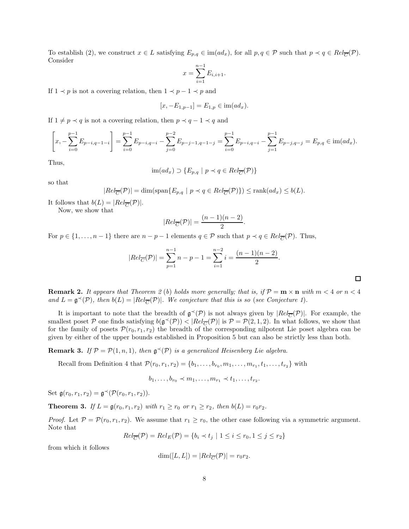To establish (2), we construct  $x \in L$  satisfying  $E_{p,q} \in \text{im}(ad_x)$ , for all  $p, q \in \mathcal{P}$  such that  $p \prec q \in Rel_{\overline{C}}(\mathcal{P})$ . Consider

$$
x = \sum_{i=1}^{n-1} E_{i,i+1}.
$$

If  $1 \prec p$  is not a covering relation, then  $1 \prec p-1 \prec p$  and

$$
[x, -E_{1,p-1}] = E_{1,p} \in \text{im}(ad_x).
$$

If  $1 \neq p \prec q$  is not a covering relation, then  $p \prec q - 1 \prec q$  and

$$
\left[x, -\sum_{i=0}^{p-1} E_{p-i,q-1-i}\right] = \sum_{i=0}^{p-1} E_{p-i,q-i} - \sum_{j=0}^{p-2} E_{p-j-1,q-1-j} = \sum_{i=0}^{p-1} E_{p-i,q-i} - \sum_{j=1}^{p-1} E_{p-j,q-j} = E_{p,q} \in \text{im}(ad_x).
$$

Thus,

$$
im(ad_x) \supset \{E_{p,q} \mid p \prec q \in Rel_{\overline{C}}(\mathcal{P})\}
$$

so that

$$
|Rel_{\overline{C}}(\mathcal{P})| = \dim(\text{span}\{E_{p,q} \mid p \prec q \in Rel_{\overline{C}}(\mathcal{P})\}) \le \text{rank}(ad_x) \le b(L).
$$

It follows that  $b(L) = |Rel_{\overline{C}}(\mathcal{P})|$ .

Now, we show that

$$
|Rel_{\overline{C}}(\mathcal{P})| = \frac{(n-1)(n-2)}{2}.
$$

For  $p \in \{1, \ldots, n-1\}$  there are  $n-p-1$  elements  $q \in \mathcal{P}$  such that  $p \prec q \in Rel_{\overline{C}}(\mathcal{P})$ . Thus,

$$
|Rel_{\overline{C}}(\mathcal{P})| = \sum_{p=1}^{n-1} n - p - 1 = \sum_{i=1}^{n-2} i = \frac{(n-1)(n-2)}{2}.
$$

 $\Box$ 

**Remark 2.** It appears that Theorem 2 (b) holds more generally; that is, if  $\mathcal{P} = \mathbf{m} \times \mathbf{n}$  with  $m < 4$  or  $n < 4$ and  $L = \mathfrak{g}^{\prec}(\mathcal{P})$ , then  $b(L) = |Rel_{\overline{C}}(\mathcal{P})|$ *. We conjecture that this is so (see Conjecture 1).* 

It is important to note that the breadth of  $\mathfrak{g}^{\prec}(\mathcal{P})$  is not always given by  $|Rel_{\overline{C}}(\mathcal{P})|$ . For example, the smallest poset  $P$  one finds satisfying  $b(g \prec (P)) < |Rel_{\overline{C}}(P)|$  is  $P = P(2, 1, 2)$ . In what follows, we show that for the family of posets  $\mathcal{P}(r_0, r_1, r_2)$  the breadth of the corresponding nilpotent Lie poset algebra can be given by either of the upper bounds established in Proposition 5 but can also be strictly less than both.

**Remark 3.** If  $P = P(1, n, 1)$ , then  $\mathfrak{g}^{\prec}(P)$  is a generalized Heisenberg Lie algebra.

Recall from Definition 4 that  $\mathcal{P}(r_0, r_1, r_2) = \{b_1, \ldots, b_{r_0}, m_1, \ldots, m_{r_1}, t_1, \ldots, t_{r_2}\}$  with

 $b_1, \ldots, b_{r_0} \prec m_1, \ldots, m_{r_1} \prec t_1, \ldots, t_{r_2}.$ 

Set  $\mathfrak{g}(r_0, r_1, r_2) = \mathfrak{g}^{\prec}(\mathcal{P}(r_0, r_1, r_2)).$ 

**Theorem 3.** *If*  $L = \mathfrak{g}(r_0, r_1, r_2)$  *with*  $r_1 \ge r_0$  *or*  $r_1 \ge r_2$ *, then*  $b(L) = r_0 r_2$ *.* 

*Proof.* Let  $P = P(r_0, r_1, r_2)$ . We assume that  $r_1 \ge r_0$ , the other case following via a symmetric argument. Note that

$$
Rel_{\overline{C}}(\mathcal{P}) = Rel_E(\mathcal{P}) = \{b_i \prec t_j \mid 1 \le i \le r_0, 1 \le j \le r_2\}
$$

from which it follows

$$
\dim([L, L]) = |Rel_{\overline{C}}(\mathcal{P})| = r_0 r_2.
$$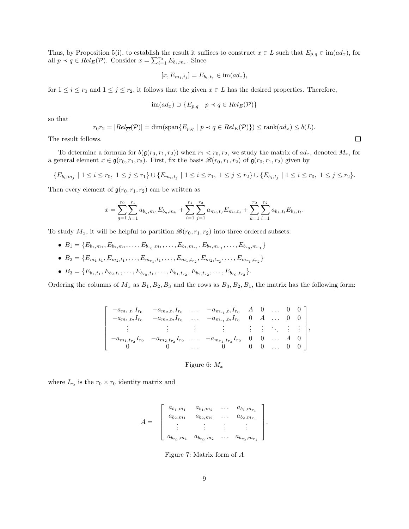Thus, by Proposition 5(i), to establish the result it suffices to construct  $x \in L$  such that  $E_{p,q} \in \text{im}(ad_x)$ , for all  $p \prec q \in Rel_E(\mathcal{P})$ . Consider  $x = \sum_{i=1}^{r_0} E_{b_i, m_i}$ . Since

$$
[x, E_{m_i, t_j}] = E_{b_i, t_j} \in \text{im}(ad_x),
$$

for  $1 \leq i \leq r_0$  and  $1 \leq j \leq r_2$ , it follows that the given  $x \in L$  has the desired properties. Therefore,

$$
im(ad_x) \supset \{E_{p,q} \mid p \prec q \in Rel_E(\mathcal{P})\}
$$

so that

$$
r_0r_2 = |Rel_{\overline{C}}(\mathcal{P})| = \dim(\text{span}\{E_{p,q} \mid p \prec q \in Rel_E(\mathcal{P})\}) \le \text{rank}(ad_x) \le b(L).
$$

The result follows.

To determine a formula for  $b(\mathfrak{g}(r_0, r_1, r_2))$  when  $r_1 < r_0, r_2$ , we study the matrix of  $ad_x$ , denoted  $M_x$ , for a general element  $x \in \mathfrak{g}(r_0, r_1, r_2)$ . First, fix the basis  $\mathscr{B}(r_0, r_1, r_2)$  of  $\mathfrak{g}(r_0, r_1, r_2)$  given by

$$
\{E_{b_i,m_j} \mid 1 \leq i \leq r_0, \ 1 \leq j \leq r_1\} \cup \{E_{m_i,t_j} \mid 1 \leq i \leq r_1, \ 1 \leq j \leq r_2\} \cup \{E_{b_i,t_j} \mid 1 \leq i \leq r_0, \ 1 \leq j \leq r_2\}.
$$

Then every element of  $g(r_0, r_1, r_2)$  can be written as

$$
x = \sum_{g=1}^{r_0} \sum_{h=1}^{r_1} a_{b_g, m_h} E_{b_g, m_h} + \sum_{i=1}^{r_1} \sum_{j=1}^{r_2} a_{m_i, t_j} E_{m_i, t_j} + \sum_{k=1}^{r_0} \sum_{l=1}^{r_2} a_{b_k, t_l} E_{b_k, t_l}.
$$

To study  $M_x$ , it will be helpful to partition  $\mathscr{B}(r_0, r_1, r_2)$  into three ordered subsets:

- $B_1 = \{E_{b_1,m_1}, E_{b_2,m_1}, \ldots, E_{b_{r_0},m_1}, \ldots, E_{b_1,m_{r_1}}, E_{b_2,m_{r_1}}, \ldots, E_{b_{r_0},m_{r_1}}\}$
- $B_2 = \{E_{m_1,t_1}, E_{m_2,t_1}, \ldots, E_{m_{r_1},t_1}, \ldots, E_{m_1,t_{r_2}}, E_{m_2,t_{r_2}}, \ldots, E_{m_{r_1},t_{r_2}}\}$
- $B_3 = \{E_{b_1,t_1}, E_{b_2,t_1}, \ldots, E_{b_{r_0},t_1}, \ldots, E_{b_1,t_{r_2}}, E_{b_2,t_{r_2}}, \ldots, E_{b_{r_0},t_{r_2}}\}.$

Ordering the columns of  $M_x$  as  $B_1, B_2, B_3$  and the rows as  $B_3, B_2, B_1$ , the matrix has the following form:

$$
\begin{bmatrix}\n-a_{m_1,t_1}I_{r_0} & -a_{m_2,t_1}I_{r_0} & \dots & -a_{m_{r_1},t_1}I_{r_0} & A & 0 & \dots & 0 & 0 \\
-a_{m_1,t_2}I_{r_0} & -a_{m_2,t_2}I_{r_0} & \dots & -a_{m_{r_1},t_2}I_{r_0} & 0 & A & \dots & 0 & 0 \\
\vdots & \vdots & \vdots & \vdots & \vdots & \vdots & \vdots & \vdots & \vdots \\
-a_{m_1,t_{r_2}}I_{r_0} & -a_{m_2,t_{r_2}}I_{r_0} & \dots & -a_{m_{r_1},t_{r_2}}I_{r_0} & 0 & 0 & \dots & A & 0 \\
0 & 0 & \dots & 0 & 0 & 0 & \dots & 0 & 0\n\end{bmatrix},
$$

Figure 6:  $M_x$ 

where  $I_{r_0}$  is the  $r_0 \times r_0$  identity matrix and

$$
A = \begin{bmatrix} a_{b_1,m_1} & a_{b_1,m_2} & \dots & a_{b_1,m_{r_1}} \\ a_{b_2,m_1} & a_{b_2,m_2} & \dots & a_{b_2,m_{r_1}} \\ \vdots & \vdots & \vdots & \vdots \\ a_{b_{r_0},m_1} & a_{b_{r_0},m_2} & \dots & a_{b_{r_0},m_{r_1}} \end{bmatrix}.
$$

Figure 7: Matrix form of A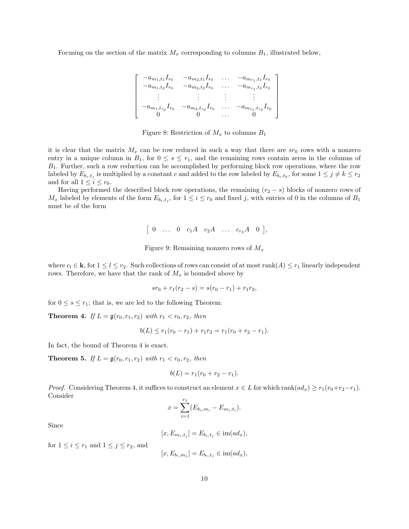Focusing on the section of the matrix  $M_x$  corresponding to columns  $B_1$ , illustrated below,

$$
\begin{bmatrix}\n-a_{m_1,t_1}I_{r_0} & -a_{m_2,t_1}I_{r_0} & \dots & -a_{m_{r_1},t_1}I_{r_0} \\
-a_{m_1,t_2}I_{r_0} & -a_{m_2,t_2}I_{r_0} & \dots & -a_{m_{r_1},t_2}I_{r_0} \\
\vdots & \vdots & \vdots & \vdots \\
-a_{m_1,t_{r_2}}I_{r_0} & -a_{m_2,t_{r_2}}I_{r_0} & \dots & -a_{m_{r_1},t_{r_2}}I_{r_0} \\
0 & 0 & \dots & 0\n\end{bmatrix}
$$

Figure 8: Restriction of  $M_x$  to columns  $B_1$ 

it is clear that the matrix  $M_x$  can be row reduced in such a way that there are  $sr_0$  rows with a nonzero entry in a unique column in  $B_1$ , for  $0 \leq s \leq r_1$ , and the remaining rows contain zeros in the columns of  $B_1$ . Further, such a row reduction can be accomplished by performing block row operations, where the row labeled by  $E_{b_i,t_j}$  is multiplied by a constant c and added to the row labeled by  $E_{b_i,t_k}$ , for some  $1 \leq j \neq k \leq r_2$ and for all  $1 \leq i \leq r_0$ .

Having performed the described block row operations, the remaining  $(r_2 - s)$  blocks of nonzero rows of  $M_x$  labeled by elements of the form  $E_{b_i,t_j}$ , for  $1 \leq i \leq r_0$  and fixed j, with entries of 0 in the columns of  $B_1$ must be of the form

 $[0 \dots 0 \ c_1 A \ c_2 A \dots c_{r_2} A \ 0],$ 

Figure 9: Remaining nonzero rows of  $M_x$ 

where  $c_l \in \mathbf{k}$ , for  $1 \leq l \leq r_2$ . Such collections of rows can consist of at most rank $(A) \leq r_1$  linearly independent rows. Therefore, we have that the rank of  $M_x$  is bounded above by

$$
sr_0 + r_1(r_2 - s) = s(r_0 - r_1) + r_1r_2,
$$

for  $0 \leq s \leq r_1$ ; that is, we are led to the following Theorem.

**Theorem 4.** *If*  $L = \mathfrak{g}(r_0, r_1, r_2)$  *with*  $r_1 < r_0, r_2$ *, then* 

$$
b(L) \le r_1(r_0 - r_1) + r_1 r_2 = r_1(r_0 + r_2 - r_1).
$$

In fact, the bound of Theorem 4 is exact.

**Theorem 5.** *If*  $L = \mathfrak{g}(r_0, r_1, r_2)$  *with*  $r_1 < r_0, r_2$ *, then* 

$$
b(L) = r_1(r_0 + r_2 - r_1).
$$

*Proof.* Considering Theorem 4, it suffices to construct an element  $x \in L$  for which rank $(ad_x) \ge r_1(r_0+r_2-r_1)$ . Consider

$$
x = \sum_{i=1}^{r_1} (E_{b_i, m_i} - E_{m_i, t_i}).
$$

Since

$$
[x, E_{m_i,t_j}] = E_{b_i,t_j} \in \text{im}(ad_x),
$$

for  $1 \leq i \leq r_1$  and  $1 \leq j \leq r_2$ , and

$$
[x, E_{b_i, m_j}] = E_{b_i, t_j} \in \text{im}(ad_x),
$$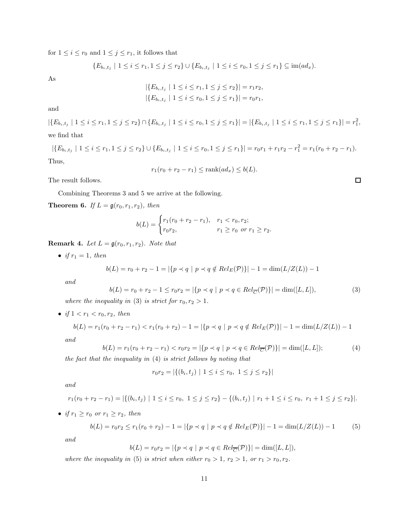for  $1\leq i\leq r_0$  and  $1\leq j\leq r_1,$  it follows that

$$
\{E_{b_i,t_j} \mid 1 \leq i \leq r_1, 1 \leq j \leq r_2\} \cup \{E_{b_i,t_j} \mid 1 \leq i \leq r_0, 1 \leq j \leq r_1\} \subseteq \text{im}(ad_x).
$$

As

$$
|\{E_{b_i,t_j} \mid 1 \le i \le r_1, 1 \le j \le r_2\}| = r_1 r_2,
$$
  

$$
|\{E_{b_i,t_j} \mid 1 \le i \le r_0, 1 \le j \le r_1\}| = r_0 r_1,
$$

and

 $|\{E_{b_i,t_j} \mid 1 \le i \le r_1, 1 \le j \le r_2\} \cap \{E_{b_i,t_j} \mid 1 \le i \le r_0, 1 \le j \le r_1\}| = |\{E_{b_i,t_j} \mid 1 \le i \le r_1, 1 \le j \le r_1\}| = r_1^2$ we find that

$$
|\{E_{b_i,t_j} \mid 1 \le i \le r_1, 1 \le j \le r_2\} \cup \{E_{b_i,t_j} \mid 1 \le i \le r_0, 1 \le j \le r_1\}| = r_0r_1 + r_1r_2 - r_1^2 = r_1(r_0 + r_2 - r_1).
$$
  
Thus,

$$
r_1(r_0 + r_2 - r_1) \le \operatorname{rank}(ad_x) \le b(L).
$$

The result follows.

Combining Theorems 3 and 5 we arrive at the following.

**Theorem 6.** *If*  $L = \mathfrak{g}(r_0, r_1, r_2)$ *, then* 

$$
b(L) = \begin{cases} r_1(r_0 + r_2 - r_1), & r_1 < r_0, r_2; \\ r_0 r_2, & r_1 \ge r_0 \text{ or } r_1 \ge r_2. \end{cases}
$$

**Remark 4.** *Let*  $L = \mathfrak{g}(r_0, r_1, r_2)$ *. Note that* 

• *if*  $r_1 = 1$ *, then* 

$$
b(L) = r_0 + r_2 - 1 = |\{p \prec q \mid p \prec q \notin Rel_E(\mathcal{P})\}| - 1 = \dim(L/Z(L)) - 1
$$

*and*

$$
b(L) = r_0 + r_2 - 1 \le r_0 r_2 = |\{p \prec q \mid p \prec q \in Rel_{\overline{C}}(\mathcal{P})\}| = \dim([L, L]),
$$
\n(3)

*where the inequality in* (3) *is strict for*  $r_0, r_2 > 1$ *.* 

• if 
$$
1 < r_1 < r_0, r_2
$$
, then

$$
b(L) = r_1(r_0 + r_2 - r_1) < r_1(r_0 + r_2) - 1 = |\{p < q \mid p < q \notin Rel_E(\mathcal{P})\}| - 1 = \dim(L/Z(L)) - 1
$$

*and*

$$
b(L) = r_1(r_0 + r_2 - r_1) < r_0 r_2 = |\{p \prec q \mid p \prec q \in Rel_{\overline{C}}(\mathcal{P})\}| = \dim([L, L]); \tag{4}
$$

*the fact that the inequality in* (4) *is strict follows by noting that*

$$
r_0r_2 = |\{(b_i, t_j) \mid 1 \le i \le r_0, 1 \le j \le r_2\}|
$$

*and*

$$
r_1(r_0+r_2-r_1)=|\{(b_i,t_j)\mid 1\leq i\leq r_0,\ 1\leq j\leq r_2\}-\{(b_i,t_j)\mid r_1+1\leq i\leq r_0,\ r_1+1\leq j\leq r_2\}|.
$$

• *if*  $r_1 \ge r_0$  *or*  $r_1 \ge r_2$ *, then* 

$$
b(L) = r_0 r_2 \le r_1 (r_0 + r_2) - 1 = |\{p \prec q \mid p \prec q \notin Rel_E(\mathcal{P})\}| - 1 = \dim(L/Z(L)) - 1 \tag{5}
$$

*and*

$$
b(L) = r_0 r_2 = |\{p \prec q \mid p \prec q \in Rel_{\overline{C}}(\mathcal{P})\}| = \dim([L, L]),
$$

*where the inequality in* (5) *is strict when either*  $r_0 > 1$ ,  $r_2 > 1$ , or  $r_1 > r_0$ ,  $r_2$ .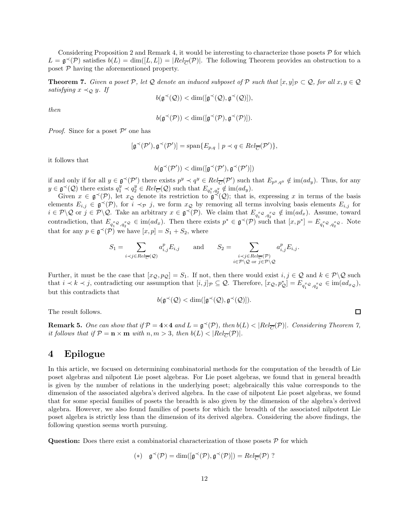Considering Proposition 2 and Remark 4, it would be interesting to characterize those posets  $\mathcal P$  for which  $L = \mathfrak{g}^{\prec}(\mathcal{P})$  satisfies  $b(L) = \dim([L, L]) = |Rel_{\overline{C}}(\mathcal{P})|$ . The following Theorem provides an obstruction to a poset  $P$  having the aforementioned property.

**Theorem 7.** *Given a poset* P, let Q *denote an induced subposet of* P *such that*  $[x, y]_p \subset Q$ *, for all*  $x, y \in Q$ *satisfying*  $x \prec_{\mathcal{Q}} y$ *. If* 

$$
b(\mathfrak{g}^{\prec}(\mathcal{Q})) < \dim([\mathfrak{g}^{\prec}(\mathcal{Q}), \mathfrak{g}^{\prec}(\mathcal{Q})]),
$$

*then*

$$
b(\mathfrak{g}^{\prec}(\mathcal{P})) < \dim([\mathfrak{g}^{\prec}(\mathcal{P}), \mathfrak{g}^{\prec}(\mathcal{P})]).
$$

*Proof.* Since for a poset  $P'$  one has

$$
[\mathfrak{g}^{\prec}(\mathcal{P}'), \mathfrak{g}^{\prec}(\mathcal{P}')] = \mathrm{span}\{E_{p,q} \ | \ p \prec q \in Rel_{\overline{C}}(\mathcal{P}')\},
$$

it follows that

$$
b(\mathfrak{g}^{\prec}(\mathcal{P}')) < \dim([\mathfrak{g}^{\prec}(\mathcal{P}'), \mathfrak{g}^{\prec}(\mathcal{P}')])
$$

if and only if for all  $y \in \mathfrak{g}^{\prec}(\mathcal{P}')$  there exists  $p^y \prec q^y \in Rel_{\overline{C}}(\mathcal{P}')$  such that  $E_{p^y,q^y} \notin \text{im}(ad_y)$ . Thus, for any  $y \in \mathfrak{g}^{\prec}(\mathcal{Q})$  there exists  $q_1^y \prec q_2^y \in Rel_{\overline{C}}(\mathcal{Q})$  such that  $E_{q_1^y,q_2^y} \notin \text{im}(ad_y)$ .

Given  $x \in \mathfrak{g}^{\prec}(\mathcal{P})$ , let  $x_{\mathcal{Q}}$  denote its restriction to  $\mathfrak{g}^{\prec}(\mathcal{Q})$ ; that is, expressing x in terms of the basis elements  $E_{i,j} \in \mathfrak{g}^{\prec}(\mathcal{P})$ , for  $i \prec_{\mathcal{P}} j$ , we form  $x_{\mathcal{Q}}$  by removing all terms involving basis elements  $E_{i,j}$  for  $i \in \mathcal{P} \setminus \mathcal{Q}$  or  $j \in \mathcal{P} \setminus \mathcal{Q}$ . Take an arbitrary  $x \in \mathfrak{g}^{\prec}(\mathcal{P})$ . We claim that  $E_{q_1^x \mathcal{Q}, q_2^x \mathcal{Q}} \notin \text{im}(ad_x)$ . Assume, toward contradiction, that  $E_{q_1^x \mathcal{Q}, q_2^x \mathcal{Q}} \in \text{im}(ad_x)$ . Then there exists  $p^* \in \mathfrak{g}^{\prec}(\mathcal{P})$  such that  $[x, p^*] = E_{q_1^x \mathcal{Q}, q_2^x \mathcal{Q}}$ . Note that for any  $p \in \mathfrak{g}^{\prec}(\mathcal{P})$  we have  $[x, p] = S_1 + S_2$ , where

$$
S_1 = \sum_{i \prec j \in Rel_{\overline{C}}(\mathcal{Q})} a_{i,j}^p E_{i,j} \quad \text{and} \quad S_2 = \sum_{\substack{i \prec j \in Rel_{\overline{C}}(\mathcal{P}) \\ i \in \mathcal{P} \setminus \mathcal{Q} \text{ or } j \in \mathcal{P} \setminus \mathcal{Q}}} a_{i,j}^p E_{i,j}.
$$

Further, it must be the case that  $[x_{\mathcal{Q}}, p_{\mathcal{Q}}] = S_1$ . If not, then there would exist  $i, j \in \mathcal{Q}$  and  $k \in \mathcal{P} \backslash \mathcal{Q}$  such that  $i \prec k \prec j$ , contradicting our assumption that  $[i, j]_p \subseteq Q$ . Therefore,  $[x_Q, p^*_{Q}] = E_{q_1^x Q, q_2^x Q} \in \text{im}(ad_{x_Q})$ , but this contradicts that

$$
b(\mathfrak{g}^{\prec}(\mathcal{Q}) < \dim([\mathfrak{g}^{\prec}(\mathcal{Q}), \mathfrak{g}^{\prec}(\mathcal{Q})]).
$$

The result follows.

**Remark 5.** One can show that if  $\mathcal{P} = 4 \times 4$  and  $L = \mathfrak{g}^{\prec}(\mathcal{P})$ , then  $b(L) < |Rel_{\overline{C}}(\mathcal{P})|$ . Considering Theorem 7, *it follows that if*  $P = \mathbf{n} \times \mathbf{m}$  *with*  $n, m > 3$ *, then*  $b(L) < |Rel_{\overline{C}}(P)|$ *.* 

### 4 Epilogue

In this article, we focused on determining combinatorial methods for the computation of the breadth of Lie poset algebras and nilpotent Lie poset algebras. For Lie poset algebras, we found that in general breadth is given by the number of relations in the underlying poset; algebraically this value corresponds to the dimension of the associated algebra's derived algebra. In the case of nilpotent Lie poset algebras, we found that for some special families of posets the breadth is also given by the dimension of the algebra's derived algebra. However, we also found families of posets for which the breadth of the associated nilpotent Lie poset algebra is strictly less than the dimension of its derived algebra. Considering the above findings, the following question seems worth pursuing.

**Question:** Does there exist a combinatorial characterization of those posets  $P$  for which

$$
(*) \quad \mathfrak{g}^{\prec}(\mathcal{P}) = \dim([\mathfrak{g}^{\prec}(\mathcal{P}), \mathfrak{g}^{\prec}(\mathcal{P})]) = Rel_{\overline{C}}(\mathcal{P}) \, ?
$$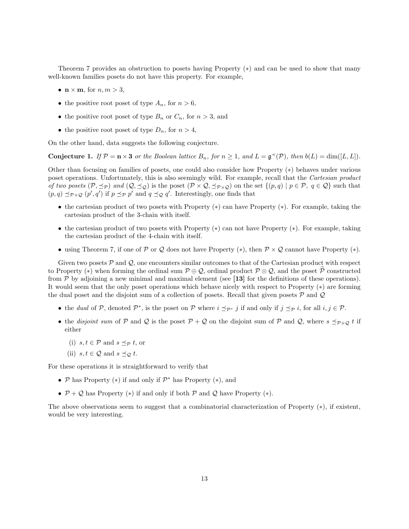Theorem 7 provides an obstruction to posets having Property (∗) and can be used to show that many well-known families posets do not have this property. For example,

- $\mathbf{n} \times \mathbf{m}$ , for  $n, m > 3$ ,
- the positive root poset of type  $A_n$ , for  $n > 6$ ,
- the positive root poset of type  $B_n$  or  $C_n$ , for  $n > 3$ , and
- the positive root poset of type  $D_n$ , for  $n > 4$ ,

On the other hand, data suggests the following conjecture.

**Conjecture 1.** If  $\mathcal{P} = \mathbf{n} \times \mathbf{3}$  or the Boolean lattice  $B_n$ , for  $n \geq 1$ , and  $L = \mathfrak{g}^{\prec}(\mathcal{P})$ , then  $b(L) = \dim([L, L])$ .

Other than focusing on families of posets, one could also consider how Property (∗) behaves under various poset operations. Unfortunately, this is also seemingly wild. For example, recall that the *Cartesian product of two posets*  $(\mathcal{P}, \preceq_{\mathcal{P}})$  *and*  $(Q, \preceq_{\mathcal{Q}})$  is the poset  $(\mathcal{P} \times \mathcal{Q}, \preceq_{\mathcal{P} \times \mathcal{Q}})$  on the set  $\{(p, q) | p \in \mathcal{P}, q \in \mathcal{Q}\}$  such that  $(p,q) \preceq_{\mathcal{P} \times \mathcal{Q}} (p', q')$  if  $p \preceq_{\mathcal{P}} p'$  and  $q \preceq_{\mathcal{Q}} q'$ . Interestingly, one finds that

- the cartesian product of two posets with Property (∗) can have Property (∗). For example, taking the cartesian product of the 3-chain with itself.
- the cartesian product of two posets with Property (∗) can not have Property (∗). For example, taking the cartesian product of the 4-chain with itself.
- using Theorem 7, if one of P or Q does not have Property  $(*)$ , then  $\mathcal{P} \times \mathcal{Q}$  cannot have Property  $(*)$ .

Given two posets  $P$  and  $Q$ , one encounters similar outcomes to that of the Cartesian product with respect to Property (\*) when forming the ordinal sum  $P \oplus Q$ , ordinal product  $P \otimes Q$ , and the poset  $\widehat{P}$  constructed from  $P$  by adjoining a new minimal and maximal element (see [13] for the definitions of these operations). It would seem that the only poset operations which behave nicely with respect to Property (∗) are forming the dual poset and the disjoint sum of a collection of posets. Recall that given posets  $P$  and  $Q$ 

- the *dual* of P, denoted  $\mathcal{P}^*$ , is the poset on P where  $i \leq_{\mathcal{P}^*} j$  if and only if  $j \leq_{\mathcal{P}} i$ , for all  $i, j \in \mathcal{P}$ .
- the *disjoint sum* of P and Q is the poset  $P + Q$  on the disjoint sum of P and Q, where  $s \preceq_{P+Q} t$  if either
	- (i)  $s, t \in \mathcal{P}$  and  $s \prec_{\mathcal{P}} t$ , or
	- (ii)  $s, t \in \mathcal{Q}$  and  $s \preceq_{\mathcal{Q}} t$ .

For these operations it is straightforward to verify that

- $P$  has Property (\*) if and only if  $P^*$  has Property (\*), and
- $P + Q$  has Property (\*) if and only if both P and Q have Property (\*).

The above observations seem to suggest that a combinatorial characterization of Property (∗), if existent, would be very interesting.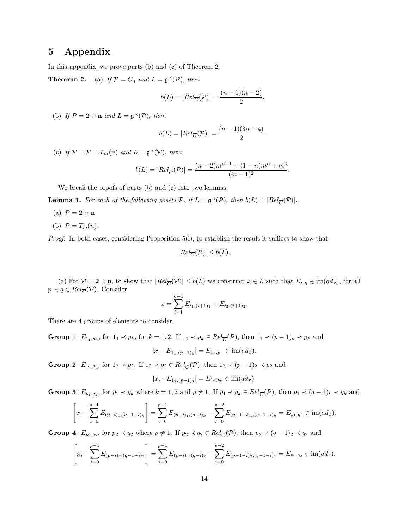# 5 Appendix

In this appendix, we prove parts (b) and (c) of Theorem 2.

**Theorem 2.** (a) If  $P = C_n$  and  $L = \mathfrak{g}^{\prec}(P)$ , then

$$
b(L) = |Rel_{\overline{C}}(\mathcal{P})| = \frac{(n-1)(n-2)}{2}.
$$

(b) If  $\mathcal{P} = 2 \times n$  and  $L = \mathfrak{g}^{\prec}(\mathcal{P})$ , then

$$
b(L) = |Rel_{\overline{C}}(\mathcal{P})| = \frac{(n-1)(3n-4)}{2}.
$$

(c) If  $\mathcal{P} = \mathcal{P} = T_m(n)$  and  $L = \mathfrak{g}^{\prec}(\mathcal{P})$ , then

$$
b(L) = |Rel_{\overline{C}}(\mathcal{P})| = \frac{(n-2)m^{n+1} + (1-n)m^n + m^2}{(m-1)^2}.
$$

We break the proofs of parts (b) and (c) into two lemmas.

**Lemma 1.** For each of the following posets  $P$ , if  $L = \mathfrak{g}^{\prec}(P)$ , then  $b(L) = |Rel_{\overline{C}}(P)|$ .

- (a)  $\mathcal{P} = 2 \times n$
- (b)  $\mathcal{P} = T_m(n)$ .

*Proof.* In both cases, considering Proposition 5(i), to establish the result it suffices to show that

$$
|Rel_{\overline{C}}(\mathcal{P})| \leq b(L).
$$

(a) For  $\mathcal{P} = 2 \times n$ , to show that  $|Rel_{\overline{C}}(\mathcal{P})| \leq b(L)$  we construct  $x \in L$  such that  $E_{p,q} \in \text{im}(ad_x)$ , for all  $p \prec q \in Rel_{\overline{C}}(\mathcal{P})$ . Consider

$$
x = \sum_{i=1}^{n-1} E_{i_1,(i+1)_1} + E_{i_2,(i+1)_2}.
$$

There are 4 groups of elements to consider.

Group 1:  $E_{1_1,p_k}$ , for  $1_1 \prec p_k$ , for  $k = 1, 2$ . If  $1_1 \prec p_k \in Rel_{\overline{C}}(\mathcal{P})$ , then  $1_1 \prec (p-1)_k \prec p_k$  and

$$
[x, -E_{1,(p-1)_k}] = E_{1_1,p_k} \in \text{im}(ad_x).
$$

Group 2:  $E_{1_2,p_2}$ , for  $1_2 \prec p_2$ . If  $1_2 \prec p_2 \in Rel_{\overline{C}}(\mathcal{P})$ , then  $1_2 \prec (p-1)_2 \prec p_2$  and

$$
[x, -E_{1_2,(p-1)_2}] = E_{1_2,p_2} \in \text{im}(ad_x).
$$

Group 3:  $E_{p_1,q_k}$ , for  $p_1 \prec q_k$  where  $k = 1, 2$  and  $p \neq 1$ . If  $p_1 \prec q_k \in Rel_{\overline{C}}(\mathcal{P})$ , then  $p_1 \prec (q-1)_k \prec q_k$  and

$$
\left[x, -\sum_{i=0}^{p-1} E_{(p-i)1, (q-1-i)_{k}}\right] = \sum_{i=0}^{p-1} E_{(p-i)1, (q-i)_{k}} - \sum_{i=0}^{p-2} E_{(p-1-i)1, (q-1-i)_{k}} = E_{p1, q_k} \in \text{im}(ad_x).
$$

Group 4:  $E_{p_2,q_2}$ , for  $p_2 \prec q_2$  where  $p \neq 1$ . If  $p_2 \prec q_2 \in Rel_{\overline{C}}(\mathcal{P})$ , then  $p_2 \prec (q-1)_2 \prec q_2$  and

$$
\left[x, -\sum_{i=0}^{p-1} E_{(p-i)_2, (q-1-i)_2}\right] = \sum_{i=0}^{p-1} E_{(p-i)_2, (q-i)_2} - \sum_{i=0}^{p-2} E_{(p-1-i)_2, (q-1-i)_2} = E_{p_2, q_2} \in \text{im}(ad_x).
$$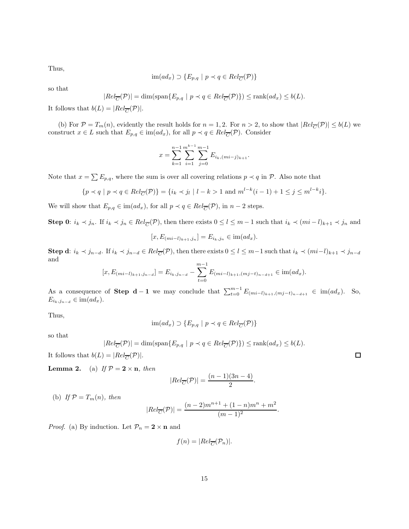Thus,

$$
im(ad_x) \supset \{E_{p,q} \mid p \prec q \in Rel_{\overline{C}}(\mathcal{P})\}
$$

so that

$$
|Rel_{\overline{C}}(\mathcal{P})| = \dim(\text{span}\{E_{p,q} \mid p \prec q \in Rel_{\overline{C}}(\mathcal{P})\}) \leq \text{rank}(ad_x) \leq b(L).
$$

It follows that  $b(L) = |Rel_{\overline{C}}(\mathcal{P})|$ .

(b) For  $P = T_m(n)$ , evidently the result holds for  $n = 1, 2$ . For  $n > 2$ , to show that  $|Rel_{\overline{C}}(P)| \leq b(L)$  we construct  $x \in L$  such that  $E_{p,q} \in \text{im}(ad_x)$ , for all  $p \prec q \in Rel_{\overline{C}}(\mathcal{P})$ . Consider

$$
x = \sum_{k=1}^{n-1} \sum_{i=1}^{m^{k-1}} \sum_{j=0}^{m-1} E_{i_k, (mi-j)_{k+1}}.
$$

Note that  $x = \sum E_{p,q}$ , where the sum is over all covering relations  $p \prec q$  in P. Also note that

$$
\{p \prec q \mid p \prec q \in Rel_{\overline{C}}(\mathcal{P})\} = \{i_k \prec j_l \mid l-k > 1 \text{ and } m^{l-k}(i-1) + 1 \le j \le m^{l-k}i\}.
$$

We will show that  $E_{p,q} \in \text{im}(ad_x)$ , for all  $p \prec q \in Rel_{\overline{C}}(\mathcal{P})$ , in  $n-2$  steps.

**Step 0**:  $i_k \prec j_n$ . If  $i_k \prec j_n \in Rel_{\overline{C}}(\mathcal{P})$ , then there exists  $0 \leq l \leq m-1$  such that  $i_k \prec (mi-l)_{k+1} \prec j_n$  and

$$
[x, E_{(mi-l)_{k+1},j_n}] = E_{i_k,j_n} \in \text{im}(ad_x).
$$

**Step d:**  $i_k \prec j_{n-d}$ . If  $i_k \prec j_{n-d} \in Rel_{\overline{C}}(\mathcal{P})$ , then there exists  $0 \leq l \leq m-1$  such that  $i_k \prec (mi-l)_{k+1} \prec j_{n-d}$ and

$$
[x, E_{(mi-l)_{k+1}, j_{n-d}}] = E_{i_k, j_{n-d}} - \sum_{t=0}^{m-1} E_{(mi-l)_{k+1}, (mj-t)_{n-d+1}} \in \text{im}(ad_x).
$$

As a consequence of **Step d** - 1 we may conclude that  $\sum_{t=0}^{m-1} E_{(mi-l)_{k+1},(mj-l)_{n-d+1}} \in \text{im}(ad_x)$ . So,  $E_{i_k,j_{n-d}} \in \text{im}(ad_x).$ 

Thus,

$$
im(ad_x) \supset \{E_{p,q} \mid p \prec q \in Rel_{\overline{C}}(\mathcal{P})\}
$$

so that

$$
|Rel_{\overline{C}}(\mathcal{P})| = \dim(\text{span}\{E_{p,q} \mid p \prec q \in Rel_{\overline{C}}(\mathcal{P})\}) \leq \text{rank}(ad_x) \leq b(L).
$$

It follows that  $b(L) = |Rel_{\overline{C}}(\mathcal{P})|$ .

**Lemma 2.** (a) *If*  $\mathcal{P} = 2 \times n$ *, then* 

$$
|Rel_{\overline{C}}(\mathcal{P})| = \frac{(n-1)(3n-4)}{2}.
$$

(b) If  $\mathcal{P} = T_m(n)$ , then

$$
|Rel_{\overline{C}}(\mathcal{P})| = \frac{(n-2)m^{n+1} + (1-n)m^n + m^2}{(m-1)^2}.
$$

*Proof.* (a) By induction. Let  $\mathcal{P}_n = 2 \times n$  and

$$
f(n) = |Rel_{\overline{C}}(\mathcal{P}_n)|.
$$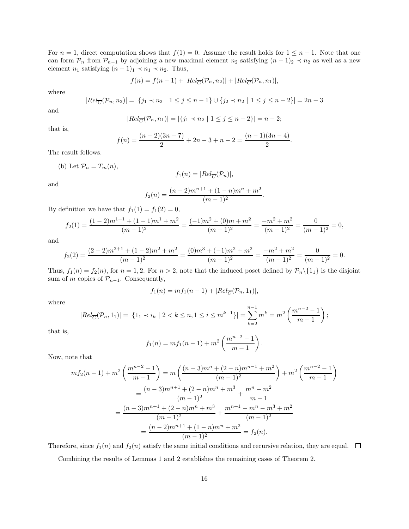For  $n = 1$ , direct computation shows that  $f(1) = 0$ . Assume the result holds for  $1 \leq n - 1$ . Note that one can form  $\mathcal{P}_n$  from  $\mathcal{P}_{n-1}$  by adjoining a new maximal element  $n_2$  satisfying  $(n-1)_2 \prec n_2$  as well as a new element  $n_1$  satisfying  $(n - 1)_1 \prec n_1 \prec n_2$ . Thus,

$$
f(n) = f(n-1) + |Rel_{\overline{C}}(\mathcal{P}_n, n_2)| + |Rel_{\overline{C}}(\mathcal{P}_n, n_1)|,
$$

where

$$
|Rel_{\overline{C}}(\mathcal{P}_n, n_2)| = |\{j_1 \prec n_2 \mid 1 \le j \le n-1\} \cup \{j_2 \prec n_2 \mid 1 \le j \le n-2\}| = 2n-3
$$

and

$$
|Rel_{\overline{C}}(\mathcal{P}_n, n_1)| = |\{j_1 \prec n_2 \mid 1 \le j \le n-2\}| = n-2;
$$

that is,

$$
f(n) = \frac{(n-2)(3n-7)}{2} + 2n - 3 + n - 2 = \frac{(n-1)(3n-4)}{2}.
$$

The result follows.

(b) Let 
$$
\mathcal{P}_n = T_m(n)
$$
,

$$
f_1(n) = |Rel_{\overline{C}}(\mathcal{P}_n)|,
$$

and

$$
f_2(n) = \frac{(n-2)m^{n+1} + (1-n)m^n + m^2}{(m-1)^2}
$$

.

.

By definition we have that  $f_1(1) = f_1(2) = 0$ ,

$$
f_2(1) = \frac{(1-2)m^{1+1} + (1-1)m^1 + m^2}{(m-1)^2} = \frac{(-1)m^2 + (0)m + m^2}{(m-1)^2} = \frac{-m^2 + m^2}{(m-1)^2} = \frac{0}{(m-1)^2} = 0,
$$

and

$$
f_2(2) = \frac{(2-2)m^{2+1} + (1-2)m^2 + m^2}{(m-1)^2} = \frac{(0)m^3 + (-1)m^2 + m^2}{(m-1)^2} = \frac{-m^2 + m^2}{(m-1)^2} = \frac{0}{(m-1)^2} = 0.
$$

Thus,  $f_1(n) = f_2(n)$ , for  $n = 1, 2$ . For  $n > 2$ , note that the induced poset defined by  $\mathcal{P}_n \setminus \{1_1\}$  is the disjoint sum of m copies of  $\mathcal{P}_{n-1}$ . Consequently,

$$
f_1(n)=m f_1(n-1)+|Rel_{\overline{C}}(\mathcal{P}_n,1_1)|,
$$

where

$$
|Rel_{\overline{C}}(\mathcal{P}_n, 1_1)| = |\{1_1 \prec i_k \mid 2 < k \le n, 1 \le i \le m^{k-1}\}| = \sum_{k=2}^{n-1} m^k = m^2 \left(\frac{m^{n-2} - 1}{m - 1}\right);
$$

that is,

$$
f_1(n) = mf_1(n-1) + m^2 \left(\frac{m^{n-2} - 1}{m-1}\right)
$$

Now, note that

$$
mf_2(n-1) + m^2 \left(\frac{m^{n-2}-1}{m-1}\right) = m \left(\frac{(n-3)m^n + (2-n)m^{n-1} + m^2}{(m-1)^2}\right) + m^2 \left(\frac{m^{n-2}-1}{m-1}\right)
$$

$$
= \frac{(n-3)m^{n+1} + (2-n)m^n + m^3}{(m-1)^2} + \frac{m^n - m^2}{m-1}
$$

$$
= \frac{(n-3)m^{n+1} + (2-n)m^n + m^3}{(m-1)^2} + \frac{m^{n+1} - m^n - m^3 + m^2}{(m-1)^2}
$$

$$
= \frac{(n-2)m^{n+1} + (1-n)m^n + m^2}{(m-1)^2} = f_2(n).
$$

Therefore, since  $f_1(n)$  and  $f_2(n)$  satisfy the same initial conditions and recursive relation, they are equal.  $\Box$ 

Combining the results of Lemmas 1 and 2 establishes the remaining cases of Theorem 2.